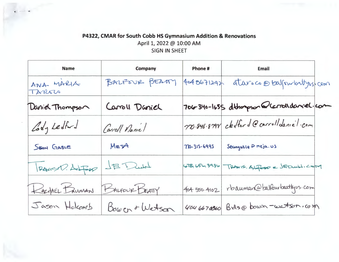## P4322, CMAR for South Cobb HS Gymnasium Addition & Renovations

April 1, 2022 @ 10:00 AM

 $\epsilon$  and  $\epsilon$ 

## SIGN IN SHEET

| <b>Name</b>         | <b>Company</b> | Phone #      | <b>Email</b>                                |
|---------------------|----------------|--------------|---------------------------------------------|
| ANA MARIA<br>TAROLO | BALFOUR BEAMY  | 4048671242   | aturo co o balfourbutyus com                |
| Daniel Thompson     | Caroll Daniel  |              | 706-340-1655 dthompson @ carroll daniel.com |
| Cody Ledford        | Caroll Naniel  |              | 770-846-8798 cklford @ carrolldaniel-com    |
| SEAN GABLE          | MEJA           | 710-315-6995 | Seangable @ meja. US                        |
| PANSP. ALFOR        | JBDuH          | $55 - 3936$  | TRAILS. ALFORDE SEDUN. COM                  |
| RACHEL BRUMAN       | BALFOUR BEATTY | 404.550.4102 | rbauman@balfourbeattyvs.com                 |
| Jason Holcomb       | Bower + Watson |              | 404 6670860 Brds@bowen-watson.com           |